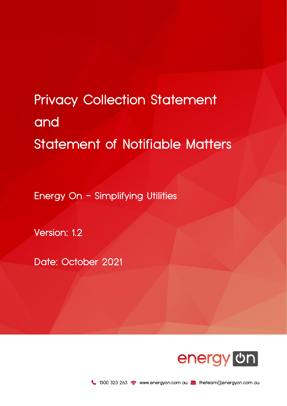# Privacy Collection Statement and Statement of Notifiable Matters

Energy On - Simplifying Utilities

Version: 1.2

Date: October 2021

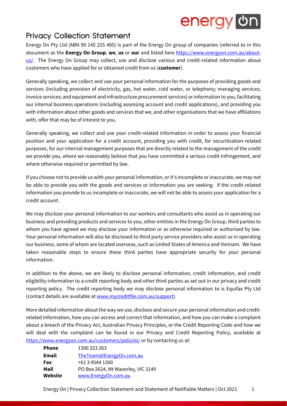### energy on

### Privacy Collection Statement

Energy On Pty Ltd (ABN 90 145 225 485) is part of the Energy On group of companies (referred to in this document as the **Energy On Group**, **we**, **us** or **our** and listed here [https://www.energyon.com.au/about](https://www.energyon.com.au/about-us/)[us/.](https://www.energyon.com.au/about-us/) The Energy On Group may collect, use and disclose various and credit-related information about customers who have applied for or obtained credit from us (**customer**).

Generally speaking, we collect and use your personal information for the purposes of providing goods and services (including provision of electricity, gas, hot water, cold water, or telephony; managing services; invoice services; and equipment and infrastructure procurement services) or information to you, facilitating our internal business operations (including assessing account and credit applications), and providing you with information about other goods and services that we, and other organisations that we have affiliations with, offer that may be of interest to you.

Generally speaking, we collect and use your credit-related information in order to assess your financial position and your application for a credit account, providing you with credit, for securitisation-related purposes, for our internal management purposes that are directly related to the management of the credit we provide you, where we reasonably believe that you have committed a serious credit infringement, and where otherwise required or permitted by law.

If you choose not to provide us with your personal information, or it's incomplete or inaccurate, we may not be able to provide you with the goods and services or information you are seeking. If the credit-related information you provide to us incomplete or inaccurate, we will not be able to assess your application for a credit account.

We may disclose your personal information to our workers and consultants who assist us in operating our business and providing products and services to you, other entities in the Energy On Group, third parties to whom you have agreed we may disclose your information or as otherwise required or authorised by law. Your personal information will also be disclosed to third party service providers who assist us in operating our business, some of whom are located overseas, such as United States of America and Vietnam. We have taken reasonable steps to ensure these third parties have appropriate security for your personal information.

In addition to the above, we are likely to disclose personal information, credit information, and credit eligibility information to a credit reporting body and other third parties as set out in our privacy and credit reporting policy. The credit reporting body we may disclose personal information to is Equifax Pty Ltd (contact details are available a[t www.mycreditfile.com.au/support\)](file://///synology/EON%20-%20Share/4.%20Customer%20Service/1.%20Policies/Privacy%20and%20Credit%20Reporting%20Policy/www.mycreditfile.com.au/support).

More detailed information about the way we use, disclose and secure your personal information and creditrelated information, how you can access and correct that information, and how you can make a complaint about a breach of the Privacy Act, Australian Privacy Principles, or the Credit Reporting Code and how we will deal with the complaint can be found in our Privacy and Credit Reporting Policy, available at <https://www.energyon.com.au/customers/policies/> or by contacting us at:

| <b>Phone</b> | 1300 323 263                       |  |  |
|--------------|------------------------------------|--|--|
| <b>Email</b> | TheTeam@EnergyOn.com.au            |  |  |
| Fax          | +61 3 9544 1300                    |  |  |
| Mail         | PO Box 2624, Mt Waverley, VIC 3149 |  |  |
| Website      | www.EnergyOn.com.au                |  |  |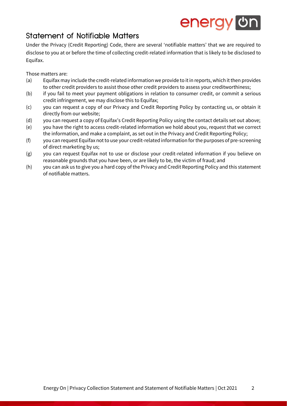## energy on

### Statement of Notifiable Matters

Under the Privacy (Credit Reporting) Code, there are several 'notifiable matters' that we are required to disclose to you at or before the time of collecting credit-related information that is likely to be disclosed to Equifax.

#### Those matters are:

- (a) Equifax may include the credit-related information we provide to it in reports, which it then provides to other credit providers to assist those other credit providers to assess your creditworthiness;
- (b) if you fail to meet your payment obligations in relation to consumer credit, or commit a serious credit infringement, we may disclose this to Equifax;
- (c) you can request a copy of our Privacy and Credit Reporting Policy by contacting us, or obtain it directly from our website;
- (d) you can request a copy of Equifax's Credit Reporting Policy using the contact details set out above;
- (e) you have the right to access credit-related information we hold about you, request that we correct the information, and make a complaint, as set out in the Privacy and Credit Reporting Policy;
- (f) you can request Equifax not to use your credit-related information for the purposes of pre-screening of direct marketing by us;
- (g) you can request Equifax not to use or disclose your credit-related information if you believe on reasonable grounds that you have been, or are likely to be, the victim of fraud; and
- (h) you can ask us to give you a hard copy of the Privacy and Credit Reporting Policy and this statement of notifiable matters.